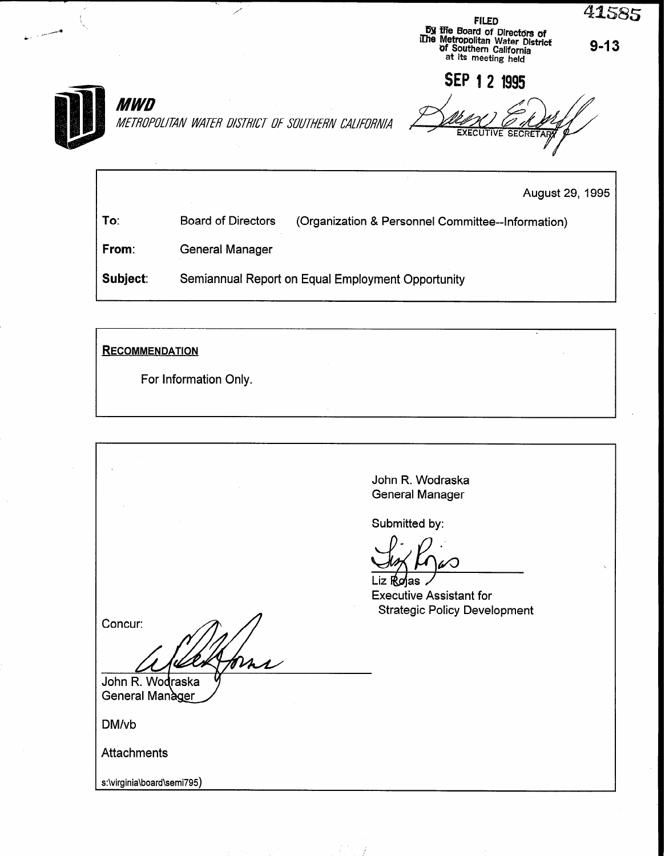|  | <b>FILED</b><br><b>By the Board of Directors of</b><br>The Metropolitan Water District<br>of Southern California<br>at its meeting held |
|--|-----------------------------------------------------------------------------------------------------------------------------------------|
|  |                                                                                                                                         |

SEP 1 2 1995

**MWD** 

METROPOLITAN WATER DISTRICT OF SOUTHERN CALIFORNIA

 $\overline{\phantom{a}}$ 

August 29, 1995

 $9 - 13$ 

41585

To: Board of Directors (Organization & Personnel Committee--information)

From: General Manager

Subject: Semiannual Report on Equal Employment Opportunity

**RECOMMENDATION** 

For Information Only.

John R. Wodraska General Manager

Submitted by:

 $\frac{1}{1-\frac{1}{2}}$ Executive Assistant for Strategic Policy Development

Concur:

John R. Wodraska General Manager

Mar

DM/vb

**Attachments** 

s:\virginia\board\semi795)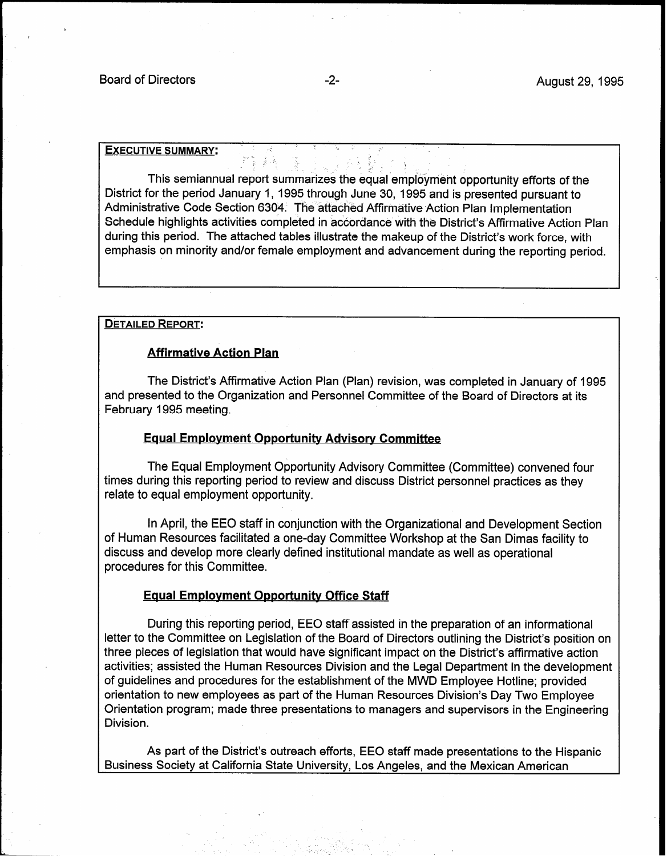### **EXECUTIVE SUMMARY:**

This semiannual report summarizes the equal employment opportunity efforts of the District for the period January 1, 1995 through June 30, 1995 and is presented pursuant to Administrative Code Section 6304. The attached Affirmative Action Plan Implementation Schedule highlights activities completed in accordance with the District's Affirmative Action Plan during this period. The attached tables illustrate the makeup of the District's work force, with emphasis on minority and/or female employment and advancement during the reporting period.

## DETAILED REPORT:

## Affirmative Action Plan

The District's Affirmative Action Plan (Plan) revision, was completed in January of 1995 and presented to the Organization and Personnel Committee of the Board of Directors at its February 1995 meeting.

## **Equal Employment Opportunity Advisory Committee**

The Equal Employment Opportunity Advisory Committee (Committee) convened four times during this reporting period to review and discuss District personnel practices as they relate to equal employment opportunity.

In April, the EEO staff in conjunction with the Organizational and Development Section of Human Resources facilitated a one-day Committee Workshop at the San Dimas facility to discuss and develop more clearly defined institutional mandate as well as operational procedures for this Committee.

#### Equal Employment Opportunity Office Staff

During this reporting period, EEO staff assisted in the preparation of an informational letter to the Committee on Legislation of the Board of Directors outlining the District's position on three pieces of legislation that would have significant impact on the District's affirmative action activities; assisted the Human Resources Division and the Legal Department in the development of guidelines and procedures for the establishment of the MWD Employee Hotline; provided orientation to new employees as part of the Human Resources Division's Day Two Employee Orientation program; made three presentations to managers and supervisors in the Engineering Division.

As part of the District's outreach efforts, EEO staff made presentations to the Hispanic Business Society at California State University, Los Angeles, and the Mexican American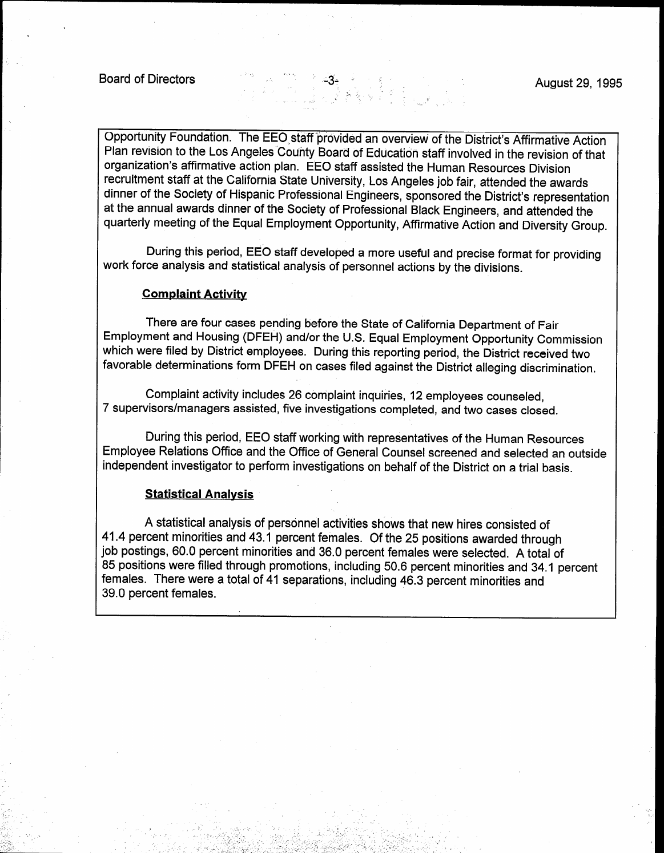I

Opportunity Foundation. The EEO staff provided an overview of the District's Affirmative Action Plan revision to the Los Angeles'County Board of Education staff involved in the revision of that organization's affirmative action plan. EEO staff assisted the Human Resources Division recruitment staff at the California State University, Los Angeles job fair, attended the awards dinner of the Society of Hispanic Professional Engineers, sponsored the District's representation at the annual awards dinner of the Society of Professional Black Engineers, and attended the quarterly meeting of the Equal Employment Opportunity, Affirmative Action and Diversity Group.

,  $\zeta$  ,

During this period, EEO staff developed a more useful and precise format for providing work force analysis and statistical analysis of personnel actions by the divisions.

# Complaint Activity

There are four cases pending before the State of California Department of Fair Employment and Housing (DFEH) and/or the U.S. Equal Employment Opportunity Commission which were filed by District employees. During this reporting period, the District received two favorable determinations form DFEH on cases filed against the District alleging discrimination.

Complaint activity includes 26 complaint inquiries, 12 employees counseled, 7 supervisors/managers assisted, five investigations completed, and two cases closed.

During this period, EEO staff working with representatives of the Human Resources Employee Relations Office and the Office of General Counsel screened and selected an outside independent investigator to perform investigations on behalf of the District on a trial basis.

# Statistical Analysis

i \_,.-

.(- . \_ i.- ,

., . . '. I.

A statistical analysis of personnel activities shows that new hires consisted of 41.4 percent minorities and 43.1 percent females. Of the 25 positions awarded through job postings, 60.0 percent minorities and 36.0 percent females were selected. A total of 85 positions were filled through promotions, including 50.6 percent minorities and 34.1 percent females. There were a total of 41 separations, including 46.3 percent minorities and 39.0 percent females.

1 .

한 방법, 제작 등이 있는 기준은 20일 있는 사람이 안 없었던 이용 방법을 받은 것이 있다. 이 사람들은 사람들이 있는 것이 있다. ticalism matematics in the consideration of the constitution of the control of the constitution of the control o

',., \_.'

.- -

-\_